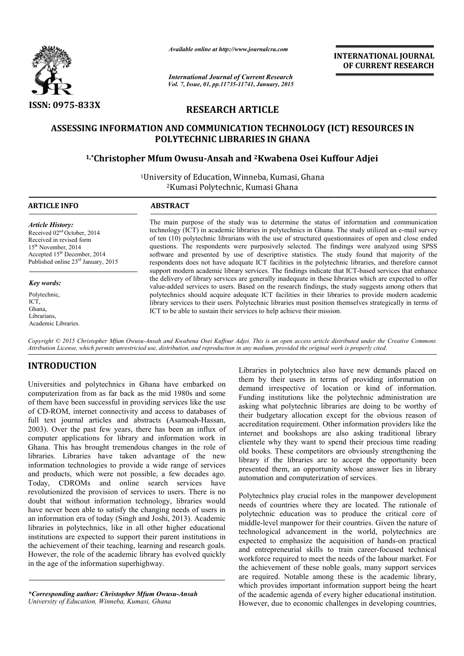

*Available online at http://www.journalcra.com*

*International Journal of Current Research Vol. 7, Issue, 01, pp.11735-11741, January, 2015* **INTERNATIONAL INTERNATIONAL JOURNAL OF CURRENT RESEARCH** 

# **RESEARCH ARTICLE**

# **ASSESSING INFORMATION AND COMMUNICATION TECHNOLOGY (ICT) RESOURCES IN POLYTECHNIC LIBRARIES IN GHANA**

# **1,\*Christopher Mfum Owusu Christopher Owusu-Ansah and 2Kwabena Osei Kuffour Adjei Kwabena Osei**

<sup>1</sup>University of Education, Winneba, Kumasi, Ghana 2 2Kumasi Polytechnic, Kumasi Ghana

1

## **ARTICLE INFO ABSTRACT**

*Article History:*

*Key words:* Polytechnic, ICT, Ghana, Librarians, Academic Libraries.

Received 02nd October, 2014 Received in revised form 15<sup>th</sup> November, 2014 Accepted 15th December, 2014 Published online 23rd January, 2015

The main purpose of the study was to determine the status of information and communication The main purpose of the study was to determine the status of information and communication technology (ICT) in academic libraries in polytechnics in Ghana. The study utilized an e-mail survey of ten (10) polytechnic librarians with the use of structured qu questionnaires of open and close ended questions. The respondents were purposively selected. The findings were analyzed using SPSS software and presented by use of descriptive statistics. The study found that majority of the respondents does not have adequate ICT facilities in the polytechnic libraries, and therefore cannot support modern academic library services. The findings indicate that ICT-based services that enhance the delivery of library services are generally inadequate in these libraries which are expected to offer value-added services to users. Based on the research findings, the study suggests among others that polytechnics should acquire adequate ICT facilities in their libraries to provide modern academic polytechnics should acquire adequate ICT facilities in their libraries to provide modern academic<br>library services to their users. Polytechnic libraries must position themselves strategically in terms of ICT to be able to sustain their services to help achieve their mission. with the use of structured questionnaires of open and close ended purposively selected. The findings were analyzed using SPSS of descriptive statistics. The study found that majority of the EICT facilities in the polytechn

Copyright © 2015 Christopher Mfum Owusu-Ansah and Kwabena Osei Kuffour Adjei. This is an open access article distributed under the Creative Commons *Attribution License, which permits unrestricted use, distribution, and reproduction in any medium, provided the original work is properly cited. use, distribution, and medium, original work* 

# **INTRODUCTION**

Universities and polytechnics in Ghana have embarked on computerization from as far back as the mid 1980s and some of them have been successful in providing services like the use of CD-ROM, internet connectivity and access to databases of full text journal articles and abstracts (Asamoah-Hassan, 2003). Over the past few years, there has been an influx of computer applications for library and information work in Ghana. This has brought tremendous changes in the role of libraries. Libraries have taken advantage of the new information technologies to provide a wide range of services and products, which were not possible, a few decades ago. Today, CDROMs and online search services have revolutionized the provision of services to users. There is no doubt that without information technology, libraries would have never been able to satisfy the changing needs of users in an information era of today (Singh and Joshi, 2013). Academic libraries in polytechnics, like in all other higher educational institutions are expected to support their parent institutions in the achievement of their teaching, learning and research goals. However, the role of the academic library has evolved quickly in the age of the information superhighway.

*\*Corresponding author: Christopher Mfum Owusu Owusu-Ansah University of Education, Winneba, Kumasi, Ghana*

Libraries in polytechnics also have new demands placed on them by their users in terms of providing information on demand irrespective of location or kind of information. Funding institutions like the polytechnic administration are asking what polytechnic libraries are doing to be worthy of their budgetary allocation except for the obvious reason of accreditation requirement. Other information providers like the internet and bookshops are also asking traditional library clientele why they want to spend their precious time reading old books. These competitors are obviously strengthening the library if the libraries are to accept the opportunity been presented them, an opportunity whose answer lies in library automation and computerization of services. Libraries in polytechnics also have new demands placed on them by their users in terms of providing information on demand irrespective of location or kind of information. Funding institutions like the polytechnic administr

Polytechnics play crucial roles in the manpower development needs of countries where they are located. The rationale of polytechnic education was to produce the critical core of middle-level manpower for their countries. Given the nature of technological advancement in the world, polytechnics are expected to emphasize the acquisition of hands-on practical and entrepreneurial skills to train career-focused technical workforce required to meet the needs of the labour market. For workforce required to meet the needs of the labour market. For the achievement of these noble goals, many support services are required. Notable among these is the academic library, which provides important information support being the heart of the academic agenda of every higher educational institution. However, due to economic challenges in developing countries. old books. These competitors are obviously strengthening the library if the libraries are to accept the opportunity been presented them, an opportunity whose answer lies in library automation and computerization of service the required. Notable among these is the academic library, ich provides important information support being the heart the academic agenda of every higher educational institution. We wever, due to economic challenges in dev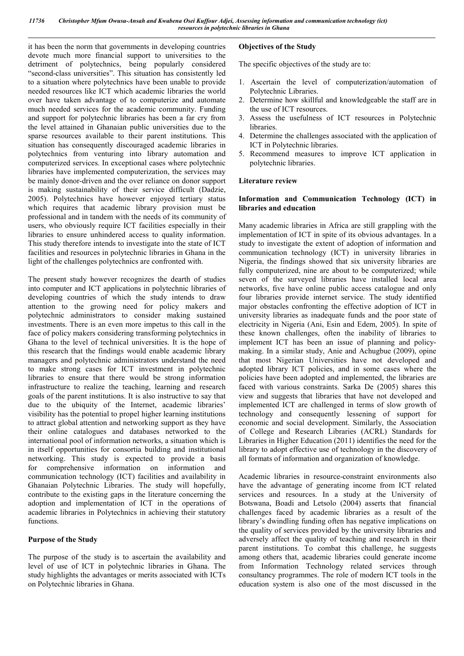it has been the norm that governments in developing countries devote much more financial support to universities to the detriment of polytechnics, being popularly considered "second-class universities". This situation has consistently led to a situation where polytechnics have been unable to provide needed resources like ICT which academic libraries the world over have taken advantage of to computerize and automate much needed services for the academic community. Funding and support for polytechnic libraries has been a far cry from the level attained in Ghanaian public universities due to the sparse resources available to their parent institutions. This situation has consequently discouraged academic libraries in polytechnics from venturing into library automation and computerized services. In exceptional cases where polytechnic libraries have implemented computerization, the services may be mainly donor-driven and the over reliance on donor support is making sustainability of their service difficult (Dadzie, 2005). Polytechnics have however enjoyed tertiary status which requires that academic library provision must be professional and in tandem with the needs of its community of users, who obviously require ICT facilities especially in their libraries to ensure unhindered access to quality information. This study therefore intends to investigate into the state of ICT facilities and resources in polytechnic libraries in Ghana in the light of the challenges polytechnics are confronted with.

The present study however recognizes the dearth of studies into computer and ICT applications in polytechnic libraries of developing countries of which the study intends to draw attention to the growing need for policy makers and polytechnic administrators to consider making sustained investments. There is an even more impetus to this call in the face of policy makers considering transforming polytechnics in Ghana to the level of technical universities. It is the hope of this research that the findings would enable academic library managers and polytechnic administrators understand the need to make strong cases for ICT investment in polytechnic libraries to ensure that there would be strong information infrastructure to realize the teaching, learning and research goals of the parent institutions. It is also instructive to say that due to the ubiquity of the Internet, academic libraries' visibility has the potential to propel higher learning institutions to attract global attention and networking support as they have their online catalogues and databases networked to the international pool of information networks, a situation which is in itself opportunities for consortia building and institutional networking. This study is expected to provide a basis for comprehensive information on information and communication technology (ICT) facilities and availability in Ghanaian Polytechnic Libraries. The study will hopefully, contribute to the existing gaps in the literature concerning the adoption and implementation of ICT in the operations of academic libraries in Polytechnics in achieving their statutory functions.

## **Purpose of the Study**

The purpose of the study is to ascertain the availability and level of use of ICT in polytechnic libraries in Ghana. The study highlights the advantages or merits associated with ICTs on Polytechnic libraries in Ghana.

## **Objectives of the Study**

The specific objectives of the study are to:

- 1. Ascertain the level of computerization/automation of Polytechnic Libraries.
- 2. Determine how skillful and knowledgeable the staff are in the use of ICT resources.
- 3. Assess the usefulness of ICT resources in Polytechnic libraries.
- 4. Determine the challenges associated with the application of ICT in Polytechnic libraries.
- 5. Recommend measures to improve ICT application in polytechnic libraries.

## **Literature review**

## **Information and Communication Technology (ICT) in libraries and education**

Many academic libraries in Africa are still grappling with the implementation of ICT in spite of its obvious advantages. In a study to investigate the extent of adoption of information and communication technology (ICT) in university libraries in Nigeria, the findings showed that six university libraries are fully computerized, nine are about to be computerized; while seven of the surveyed libraries have installed local area networks, five have online public access catalogue and only four libraries provide internet service. The study identified major obstacles confronting the effective adoption of ICT in university libraries as inadequate funds and the poor state of electricity in Nigeria (Ani, Esin and Edem, 2005). In spite of these known challenges, often the inability of libraries to implement ICT has been an issue of planning and policymaking. In a similar study, Anie and Achugbue (2009), opine that most Nigerian Universities have not developed and adopted library ICT policies, and in some cases where the policies have been adopted and implemented, the libraries are faced with various constraints. Sarka De (2005) shares this view and suggests that libraries that have not developed and implemented ICT are challenged in terms of slow growth of technology and consequently lessening of support for economic and social development. Similarly, the Association of College and Research Libraries (ACRL) Standards for Libraries in Higher Education (2011) identifies the need for the library to adopt effective use of technology in the discovery of all formats of information and organization of knowledge.

Academic libraries in resource-constraint environments also have the advantage of generating income from ICT related services and resources. In a study at the University of Botswana, Boadi and Letsolo (2004) asserts that financial challenges faced by academic libraries as a result of the library's dwindling funding often has negative implications on the quality of services provided by the university libraries and adversely affect the quality of teaching and research in their parent institutions. To combat this challenge, he suggests among others that, academic libraries could generate income from Information Technology related services through consultancy programmes. The role of modern ICT tools in the education system is also one of the most discussed in the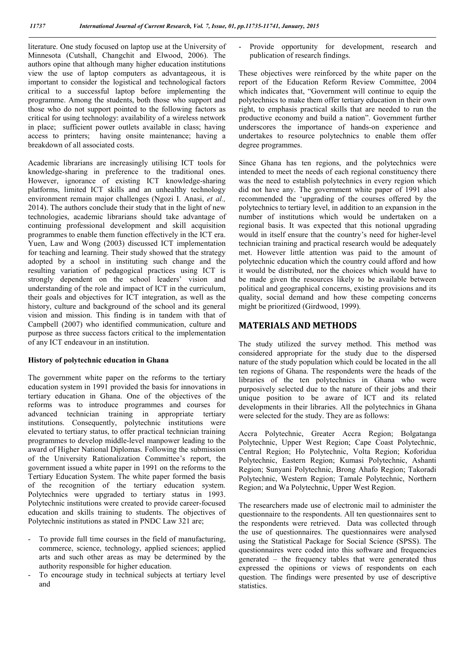literature. One study focused on laptop use at the University of Minnesota (Cutshall, Changchit and Elwood, 2006). The authors opine that although many higher education institutions view the use of laptop computers as advantageous, it is important to consider the logistical and technological factors critical to a successful laptop before implementing the programme. Among the students, both those who support and those who do not support pointed to the following factors as critical for using technology: availability of a wireless network in place; sufficient power outlets available in class; having access to printers; having onsite maintenance; having a breakdown of all associated costs.

Academic librarians are increasingly utilising ICT tools for knowledge-sharing in preference to the traditional ones. However, ignorance of existing ICT knowledge-sharing platforms, limited ICT skills and an unhealthy technology environment remain major challenges (Ngozi I. Anasi, *et al.,* 2014). The authors conclude their study that in the light of new technologies, academic librarians should take advantage of continuing professional development and skill acquisition programmes to enable them function effectively in the ICT era. Yuen, Law and Wong (2003) discussed ICT implementation for teaching and learning. Their study showed that the strategy adopted by a school in instituting such change and the resulting variation of pedagogical practices using ICT is strongly dependent on the school leaders' vision and understanding of the role and impact of ICT in the curriculum, their goals and objectives for ICT integration, as well as the history, culture and background of the school and its general vision and mission. This finding is in tandem with that of Campbell (2007) who identified communication, culture and purpose as three success factors critical to the implementation of any ICT endeavour in an institution.

#### **History of polytechnic education in Ghana**

The government white paper on the reforms to the tertiary education system in 1991 provided the basis for innovations in tertiary education in Ghana. One of the objectives of the reforms was to introduce programmes and courses for advanced technician training in appropriate tertiary institutions. Consequently, polytechnic institutions were elevated to tertiary status, to offer practical technician training programmes to develop middle-level manpower leading to the award of Higher National Diplomas. Following the submission of the University Rationalization Committee's report, the government issued a white paper in 1991 on the reforms to the Tertiary Education System. The white paper formed the basis of the recognition of the tertiary education system. Polytechnics were upgraded to tertiary status in 1993. Polytechnic institutions were created to provide career-focused education and skills training to students. The objectives of Polytechnic institutions as stated in PNDC Law 321 are;

- To provide full time courses in the field of manufacturing, commerce, science, technology, applied sciences; applied arts and such other areas as may be determined by the authority responsible for higher education.
- To encourage study in technical subjects at tertiary level and

Provide opportunity for development, research and publication of research findings.

These objectives were reinforced by the white paper on the report of the Education Reform Review Committee, 2004 which indicates that, "Government will continue to equip the polytechnics to make them offer tertiary education in their own right, to emphasis practical skills that are needed to run the productive economy and build a nation". Government further underscores the importance of hands-on experience and undertakes to resource polytechnics to enable them offer degree programmes.

Since Ghana has ten regions, and the polytechnics were intended to meet the needs of each regional constituency there was the need to establish polytechnics in every region which did not have any. The government white paper of 1991 also recommended the 'upgrading of the courses offered by the polytechnics to tertiary level, in addition to an expansion in the number of institutions which would be undertaken on a regional basis. It was expected that this notional upgrading would in itself ensure that the country's need for higher-level technician training and practical research would be adequately met. However little attention was paid to the amount of polytechnic education which the country could afford and how it would be distributed, nor the choices which would have to be made given the resources likely to be available between political and geographical concerns, existing provisions and its quality, social demand and how these competing concerns might be prioritized (Girdwood, 1999).

## **MATERIALS AND METHODS**

The study utilized the survey method. This method was considered appropriate for the study due to the dispersed nature of the study population which could be located in the all ten regions of Ghana. The respondents were the heads of the libraries of the ten polytechnics in Ghana who were purposively selected due to the nature of their jobs and their unique position to be aware of ICT and its related developments in their libraries. All the polytechnics in Ghana were selected for the study. They are as follows:

Accra Polytechnic, Greater Accra Region; Bolgatanga Polytechnic, Upper West Region; Cape Coast Polytechnic, Central Region; Ho Polytechnic, Volta Region; Koforidua Polytechnic, Eastern Region; Kumasi Polytechnic, Ashanti Region; Sunyani Polytechnic, Brong Ahafo Region; Takoradi Polytechnic, Western Region; Tamale Polytechnic, Northern Region; and Wa Polytechnic, Upper West Region.

The researchers made use of electronic mail to administer the questionnaire to the respondents. All ten questionnaires sent to the respondents were retrieved. Data was collected through the use of questionnaires. The questionnaires were analysed using the Statistical Package for Social Science (SPSS). The questionnaires were coded into this software and frequencies generated – the frequency tables that were generated thus expressed the opinions or views of respondents on each question. The findings were presented by use of descriptive statistics.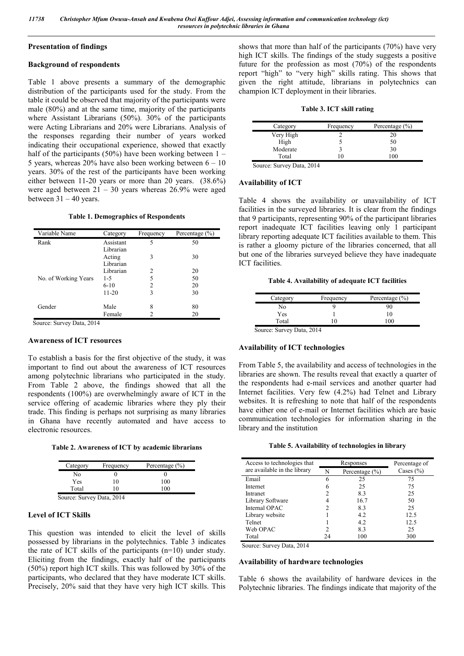## **Presentation of findings**

## **Background of respondents**

Table 1 above presents a summary of the demographic distribution of the participants used for the study. From the table it could be observed that majority of the participants were male (80%) and at the same time, majority of the participants where Assistant Librarians (50%). 30% of the participants were Acting Librarians and 20% were Librarians. Analysis of the responses regarding their number of years worked indicating their occupational experience, showed that exactly half of the participants (50%) have been working between  $1 -$ 5 years, whereas  $20\%$  have also been working between  $6 - 10$ years. 30% of the rest of the participants have been working either between 11-20 years or more than 20 years. (38.6%) were aged between  $21 - 30$  years whereas  $26.9\%$  were aged between  $31 - 40$  years.

#### **Table 1. Demographics of Respondents**

| Variable Name        | Category  | Frequency | Percentage $(\% )$ |
|----------------------|-----------|-----------|--------------------|
| Rank                 | Assistant | 5         | 50                 |
|                      | Librarian |           |                    |
|                      | Acting    | 3         | 30                 |
|                      | Librarian |           |                    |
|                      | Librarian | 2         | 20                 |
| No. of Working Years | $1-5$     | 5         | 50                 |
|                      | $6-10$    | 2         | 20                 |
|                      | $11-20$   | 3         | 30                 |
| Gender               | Male      | 8         | 80                 |
|                      | Female    | 2         | 20                 |

Source: Survey Data, 2014

#### **Awareness of ICT resources**

To establish a basis for the first objective of the study, it was important to find out about the awareness of ICT resources among polytechnic librarians who participated in the study. From Table 2 above, the findings showed that all the respondents (100%) are overwhelmingly aware of ICT in the service offering of academic libraries where they ply their trade. This finding is perhaps not surprising as many libraries in Ghana have recently automated and have access to electronic resources.

**Table 2. Awareness of ICT by academic librarians**

| Category    | Frequency             | Percentage $(\% )$ |
|-------------|-----------------------|--------------------|
| Nο          |                       |                    |
| Yes         | 10                    | 100                |
| Total       | $\theta$              | 100                |
| $\sim$<br>ົ | 0.011<br>∽.<br>$\sim$ |                    |

Source: Survey Data, 2014

## **Level of ICT Skills**

This question was intended to elicit the level of skills possessed by librarians in the polytechnics. Table 3 indicates the rate of ICT skills of the participants (n=10) under study. Eliciting from the findings, exactly half of the participants (50%) report high ICT skills. This was followed by 30% of the participants, who declared that they have moderate ICT skills. Precisely, 20% said that they have very high ICT skills. This

shows that more than half of the participants (70%) have very high ICT skills. The findings of the study suggests a positive future for the profession as most (70%) of the respondents report "high" to "very high" skills rating. This shows that given the right attitude, librarians in polytechnics can champion ICT deployment in their libraries.

#### **Table 3. ICT skill rating**

| Category                                                             | Frequency | Percentage $(\% )$ |
|----------------------------------------------------------------------|-----------|--------------------|
| Very High                                                            |           | 20                 |
| High                                                                 |           | 50                 |
| Moderate                                                             |           | 30                 |
| Total                                                                |           | 100                |
| $C_{\text{outmax}}$ , $C_{\text{inmax}}$ , $D_{\text{obs}}$ , $2014$ |           |                    |

Source: Survey Data, 2014

### **Availability of ICT**

Table 4 shows the availability or unavailability of ICT facilities in the surveyed libraries. It is clear from the findings that 9 participants, representing 90% of the participant libraries report inadequate ICT facilities leaving only 1 participant library reporting adequate ICT facilities available to them. This is rather a gloomy picture of the libraries concerned, that all but one of the libraries surveyed believe they have inadequate ICT facilities.

**Table 4. Availability of adequate ICT facilities**

| Category                                                             | Frequency | Percentage $(\% )$ |
|----------------------------------------------------------------------|-----------|--------------------|
| No                                                                   |           | 90                 |
| Yes                                                                  |           | 10                 |
| Total                                                                | ۱0        | 100                |
| $C_{\text{outmax}}$ , $C_{\text{inmax}}$ , $D_{\text{obs}}$ , $2014$ |           |                    |

Source: Survey Data, 2014

## **Availability of ICT technologies**

From Table 5, the availability and access of technologies in the libraries are shown. The results reveal that exactly a quarter of the respondents had e-mail services and another quarter had Internet facilities. Very few (4.2%) had Telnet and Library websites. It is refreshing to note that half of the respondents have either one of e-mail or Internet facilities which are basic communication technologies for information sharing in the library and the institution

| Access to technologies that  |    | Responses          | Percentage of |
|------------------------------|----|--------------------|---------------|
| are available in the library | N  | Percentage $(\% )$ | Cases $(\% )$ |
| Email                        |    | 25                 | 75            |
| Internet                     |    | 25                 | 75            |
| Intranet                     |    | 83                 | 25            |
| Library Software             |    | 16.7               | 50            |
| Internal OPAC                |    | 83                 | 25            |
| Library website              |    | 4.2                | 12.5          |
| Telnet                       |    | 4.2                | 12.5          |
| Web OPAC                     |    | 83                 | 25            |
| Total                        | 24 | 100                | 300           |

Source: Survey Data, 2014

#### **Availability of hardware technologies**

Table 6 shows the availability of hardware devices in the Polytechnic libraries. The findings indicate that majority of the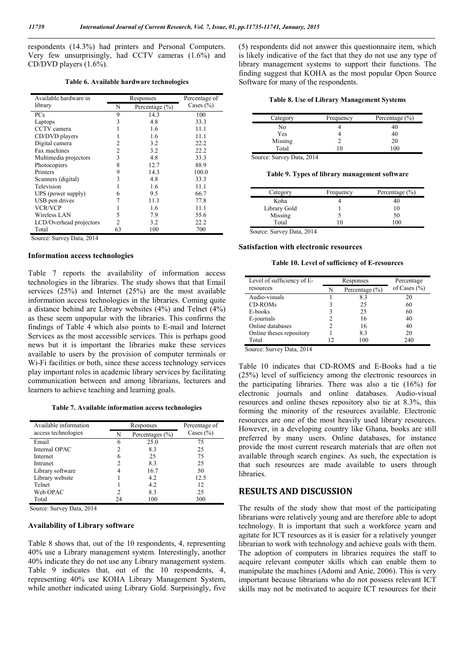respondents (14.3%) had printers and Personal Computers. Very few unsurprisingly, had CCTV cameras (1.6%) and CD/DVD players (1.6%).

**Table 6. Available hardware technologies**

| Available hardware in   | Responses |                    | Percentage of |  |
|-------------------------|-----------|--------------------|---------------|--|
| library                 | N         | Percentage $(\% )$ | Cases $(\% )$ |  |
| PCs                     | 9         | 14.3               | 100           |  |
| Laptops                 | 3         | 4.8                | 33.3          |  |
| CCTV camera             |           | 1.6                | 11.1          |  |
| CD/DVD players          |           | 1.6                | 11.1          |  |
| Digital camera          | 2         | 3.2                | 22.2          |  |
| Fax machines            | 2         | 3.2                | 22.2          |  |
| Multimedia projectors   | 3         | 4.8                | 33.3          |  |
| Photocopiers            | 8         | 12.7               | 88.9          |  |
| Printers                | 9         | 14.3               | 100.0         |  |
| Scanners (digital)      | 3         | 4.8                | 33.3          |  |
| Television              |           | 1.6                | 11.1          |  |
| UPS (power supply)      | 6         | 9.5                | 66.7          |  |
| USB pen drives          |           | 11.1               | 77.8          |  |
| <b>VCR/VCP</b>          |           | 1.6                | 11.1          |  |
| Wireless LAN            | 5         | 7.9                | 55.6          |  |
| LCD/Overhead projectors | 2         | 3.2                | 22.2          |  |
| Total                   | 63        | 100                | 700           |  |

Source: Survey Data, 2014

#### **Information access technologies**

Table 7 reports the availability of information access technologies in the libraries. The study shows that that Email services (25%) and Internet (25%) are the most available information access technologies in the libraries. Coming quite a distance behind are Library websites (4%) and Telnet (4%) as these seem unpopular with the libraries. This confirms the findings of Table 4 which also points to E-mail and Internet Services as the most accessible services. This is perhaps good news but it is important the libraries make these services available to users by the provision of computer terminals or Wi-Fi facilities or both, since these access technology services play important roles in academic library services by facilitating communication between and among librarians, lecturers and learners to achieve teaching and learning goals.

**Table 7. Available information access technologies**

| Available information | Responses |                     | Percentage of |  |
|-----------------------|-----------|---------------------|---------------|--|
| access technologies   | N         | Percentages $(\% )$ | Cases $(\% )$ |  |
| Email                 | 6         | 25.0                | 75            |  |
| Internal OPAC         |           | 8.3                 | 25            |  |
| Internet              | 6         | 25                  | 75            |  |
| Intranet              |           | 8.3                 | 25            |  |
| Library software      |           | 16.7                | 50            |  |
| Library website       |           | 4.2                 | 12.5          |  |
| Telnet                |           | 4.2                 | 12            |  |
| Web OPAC              | 2         | 8.3                 | 25            |  |
| Total                 | 24        | 100                 | 300           |  |

Source: Survey Data, 2014

#### **Availability of Library software**

Table 8 shows that, out of the 10 respondents, 4, representing 40% use a Library management system. Interestingly, another 40% indicate they do not use any Library management system. Table 9 indicates that, out of the 10 respondents, 4, representing 40% use KOHA Library Management System, while another indicated using Library Gold. Surprisingly, five (5) respondents did not answer this questionnaire item, which is likely indicative of the fact that they do not use any type of library management systems to support their functions. The finding suggest that KOHA as the most popular Open Source Software for many of the respondents.

|  |  |  |  |  | Table 8. Use of Library Management Systems |  |  |
|--|--|--|--|--|--------------------------------------------|--|--|
|--|--|--|--|--|--------------------------------------------|--|--|

| Category | Frequency | Percentage $(\% )$ |
|----------|-----------|--------------------|
| No       |           | 40                 |
| Yes      |           | 40                 |
| Missing  |           | 20                 |
| Total    | 10        | 100                |

Source: Survey Data, 2014

**Table 9. Types of library management software**

| Category     | Frequency | Percentage $(\% )$ |
|--------------|-----------|--------------------|
| Koha         |           | 40                 |
| Library Gold |           | 10                 |
| Missing      |           | 50                 |
| Total        | ۱O        | 1 O C              |

Source: Survey Data, 2014

#### **Satisfaction with electronic resources**

**Table 10. Level of sufficiency of E-resources**

| Level of sufficiency of E- |    | Responses          | Percentage       |  |
|----------------------------|----|--------------------|------------------|--|
| resources                  | N  | Percentage $(\% )$ | of Cases $(\% )$ |  |
| Audio-visuals              |    | 83                 | 20               |  |
| <b>CD-ROMs</b>             |    | 25                 | 60               |  |
| E-books                    |    | 25                 | 60               |  |
| E-journals                 |    | 16                 | 40               |  |
| Online databases           |    | 16                 | 40               |  |
| Online theses repository   |    | 83                 | 20               |  |
| Total                      | 12 | 100                | 240              |  |

Source: Survey Data, 2014

Table 10 indicates that CD-ROMS and E-Books had a tie (25%) level of sufficiency among the electronic resources in the participating libraries. There was also a tie (16%) for electronic journals and online databases. Audio-visual resources and online theses repository also tie at 8.3%, this forming the minority of the resources available. Electronic resources are one of the most heavily used library resources. However, in a developing country like Ghana, books are still preferred by many users. Online databases, for instance provide the most current research materials that are often not available through search engines. As such, the expectation is that such resources are made available to users through libraries.

# **RESULTS AND DISCUSSION**

The results of the study show that most of the participating librarians were relatively young and are therefore able to adopt technology. It is important that such a workforce yearn and agitate for ICT resources as it is easier for a relatively younger librarian to work with technology and achieve goals with them. The adoption of computers in libraries requires the staff to acquire relevant computer skills which can enable them to manipulate the machines (Adomi and Anie, 2006). This is very important because librarians who do not possess relevant ICT skills may not be motivated to acquire ICT resources for their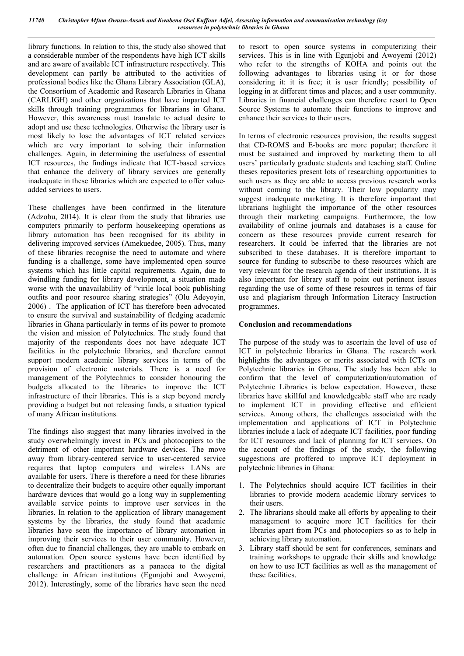library functions. In relation to this, the study also showed that a considerable number of the respondents have high ICT skills and are aware of available ICT infrastructure respectively. This development can partly be attributed to the activities of professional bodies like the Ghana Library Association (GLA), the Consortium of Academic and Research Libraries in Ghana (CARLIGH) and other organizations that have imparted ICT skills through training programmes for librarians in Ghana. However, this awareness must translate to actual desire to adopt and use these technologies. Otherwise the library user is most likely to lose the advantages of ICT related services which are very important to solving their information challenges. Again, in determining the usefulness of essential ICT resources, the findings indicate that ICT-based services that enhance the delivery of library services are generally inadequate in these libraries which are expected to offer valueadded services to users.

These challenges have been confirmed in the literature (Adzobu, 2014). It is clear from the study that libraries use computers primarily to perform housekeeping operations as library automation has been recognised for its ability in delivering improved services (Amekuedee, 2005). Thus, many of these libraries recognise the need to automate and where funding is a challenge, some have implemented open source systems which has little capital requirements. Again, due to dwindling funding for library development, a situation made worse with the unavailability of "virile local book publishing outfits and poor resource sharing strategies" (Olu Adeyoyin, 2006) . The application of ICT has therefore been advocated to ensure the survival and sustainability of fledging academic libraries in Ghana particularly in terms of its power to promote the vision and mission of Polytechnics. The study found that majority of the respondents does not have adequate ICT facilities in the polytechnic libraries, and therefore cannot support modern academic library services in terms of the provision of electronic materials. There is a need for management of the Polytechnics to consider honouring the budgets allocated to the libraries to improve the ICT infrastructure of their libraries. This is a step beyond merely providing a budget but not releasing funds, a situation typical of many African institutions.

The findings also suggest that many libraries involved in the study overwhelmingly invest in PCs and photocopiers to the detriment of other important hardware devices. The move away from library-centered service to user-centered service requires that laptop computers and wireless LANs are available for users. There is therefore a need for these libraries to decentralize their budgets to acquire other equally important hardware devices that would go a long way in supplementing available service points to improve user services in the libraries. In relation to the application of library management systems by the libraries, the study found that academic libraries have seen the importance of library automation in improving their services to their user community. However, often due to financial challenges, they are unable to embark on automation. Open source systems have been identified by researchers and practitioners as a panacea to the digital challenge in African institutions (Egunjobi and Awoyemi, 2012). Interestingly, some of the libraries have seen the need

to resort to open source systems in computerizing their services. This is in line with Egunjobi and Awoyemi (2012) who refer to the strengths of KOHA and points out the following advantages to libraries using it or for those considering it: it is free; it is user friendly; possibility of logging in at different times and places; and a user community. Libraries in financial challenges can therefore resort to Open Source Systems to automate their functions to improve and enhance their services to their users.

In terms of electronic resources provision, the results suggest that CD-ROMS and E-books are more popular; therefore it must be sustained and improved by marketing them to all users' particularly graduate students and teaching staff. Online theses repositories present lots of researching opportunities to such users as they are able to access previous research works without coming to the library. Their low popularity may suggest inadequate marketing. It is therefore important that librarians highlight the importance of the other resources through their marketing campaigns. Furthermore, the low availability of online journals and databases is a cause for concern as these resources provide current research for researchers. It could be inferred that the libraries are not subscribed to these databases. It is therefore important to source for funding to subscribe to these resources which are very relevant for the research agenda of their institutions. It is also important for library staff to point out pertinent issues regarding the use of some of these resources in terms of fair use and plagiarism through Information Literacy Instruction programmes.

## **Conclusion and recommendations**

The purpose of the study was to ascertain the level of use of ICT in polytechnic libraries in Ghana. The research work highlights the advantages or merits associated with ICTs on Polytechnic libraries in Ghana. The study has been able to confirm that the level of computerization/automation of Polytechnic Libraries is below expectation. However, these libraries have skillful and knowledgeable staff who are ready to implement ICT in providing effective and efficient services. Among others, the challenges associated with the implementation and applications of ICT in Polytechnic libraries include a lack of adequate ICT facilities, poor funding for ICT resources and lack of planning for ICT services. On the account of the findings of the study, the following suggestions are proffered to improve ICT deployment in polytechnic libraries in Ghana:

- 1. The Polytechnics should acquire ICT facilities in their libraries to provide modern academic library services to their users.
- 2. The librarians should make all efforts by appealing to their management to acquire more ICT facilities for their libraries apart from PCs and photocopiers so as to help in achieving library automation.
- 3. Library staff should be sent for conferences, seminars and training workshops to upgrade their skills and knowledge on how to use ICT facilities as well as the management of these facilities.